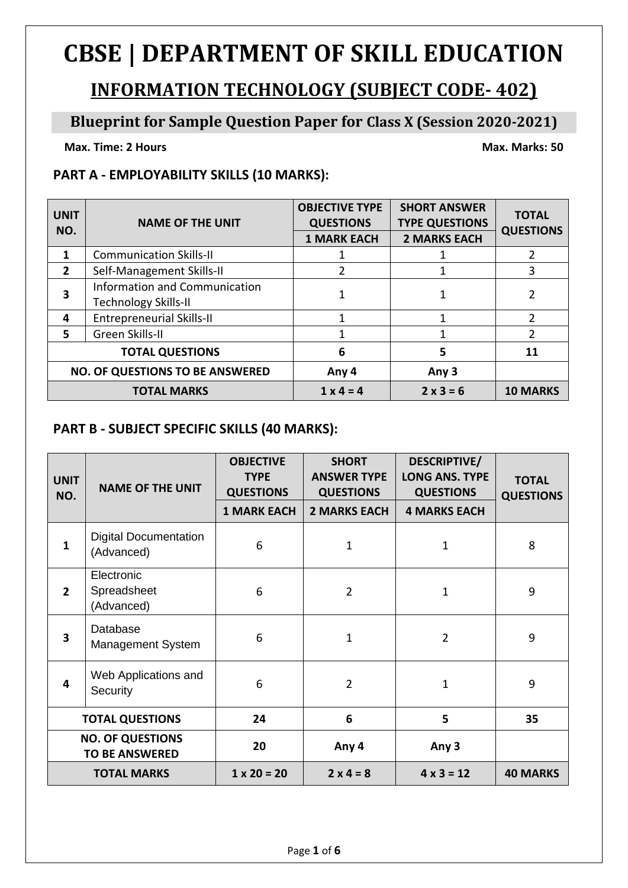# **CBSE | DEPARTMENT OF SKILL EDUCATION**

# **INFORMATION TECHNOLOGY (SUBJECT CODE- 402)**

## **Blueprint for Sample Question Paper for Class X (Session 2020-2021)**

**Max. Time: 2** Hours Max. Marks: 50

### **PART A - EMPLOYABILITY SKILLS (10 MARKS):**

| <b>UNIT</b><br>NO.     | <b>NAME OF THE UNIT</b>                                             | <b>OBJECTIVE TYPE</b><br><b>QUESTIONS</b><br><b>1 MARK EACH</b> | <b>SHORT ANSWER</b><br><b>TYPE QUESTIONS</b><br><b>2 MARKS EACH</b> | <b>TOTAL</b><br><b>QUESTIONS</b> |
|------------------------|---------------------------------------------------------------------|-----------------------------------------------------------------|---------------------------------------------------------------------|----------------------------------|
| $\mathbf 1$            | <b>Communication Skills-II</b>                                      |                                                                 |                                                                     | 2                                |
| $\overline{2}$         | Self-Management Skills-II                                           | 2                                                               |                                                                     | 3                                |
| 3                      | <b>Information and Communication</b><br><b>Technology Skills-II</b> |                                                                 |                                                                     |                                  |
| 4                      | <b>Entrepreneurial Skills-II</b>                                    | 1                                                               | 1                                                                   | $\mathcal{P}$                    |
| 5.                     | Green Skills-II                                                     |                                                                 | 1                                                                   | $\mathcal{P}$                    |
| <b>TOTAL QUESTIONS</b> |                                                                     | 6                                                               | 5                                                                   | 11                               |
|                        | <b>NO. OF QUESTIONS TO BE ANSWERED</b>                              | Any 4                                                           | Any 3                                                               |                                  |
| <b>TOTAL MARKS</b>     |                                                                     | $1 \times 4 = 4$                                                | $2 \times 3 = 6$                                                    | <b>10 MARKS</b>                  |

### **PART B - SUBJECT SPECIFIC SKILLS (40 MARKS):**

| <b>UNIT</b><br>NO.                               | <b>NAME OF THE UNIT</b>                    | <b>OBJECTIVE</b><br><b>TYPE</b><br><b>QUESTIONS</b><br><b>1 MARK EACH</b> | <b>SHORT</b><br><b>ANSWER TYPE</b><br><b>QUESTIONS</b><br><b>2 MARKS EACH</b> | DESCRIPTIVE/<br><b>LONG ANS. TYPE</b><br><b>QUESTIONS</b><br><b>4 MARKS EACH</b> | <b>TOTAL</b><br><b>QUESTIONS</b> |
|--------------------------------------------------|--------------------------------------------|---------------------------------------------------------------------------|-------------------------------------------------------------------------------|----------------------------------------------------------------------------------|----------------------------------|
| $\mathbf{1}$                                     | <b>Digital Documentation</b><br>(Advanced) | 6                                                                         | 1                                                                             | 1                                                                                | 8                                |
| $\overline{2}$                                   | Electronic<br>Spreadsheet<br>(Advanced)    | 6                                                                         | $\overline{2}$                                                                | 1                                                                                | 9                                |
| 3                                                | Database<br>Management System              | 6                                                                         | $\mathbf 1$                                                                   | $\overline{2}$                                                                   | 9                                |
| 4                                                | Web Applications and<br>Security           | 6                                                                         | $\overline{2}$                                                                | $\mathbf{1}$                                                                     | 9                                |
| <b>TOTAL QUESTIONS</b>                           |                                            | 24                                                                        | 6                                                                             | 5                                                                                | 35                               |
| <b>NO. OF QUESTIONS</b><br><b>TO BE ANSWERED</b> |                                            | 20                                                                        | Any 4                                                                         | Any 3                                                                            |                                  |
| <b>TOTAL MARKS</b>                               |                                            | $1 \times 20 = 20$                                                        | $2 \times 4 = 8$                                                              | $4 \times 3 = 12$                                                                | <b>40 MARKS</b>                  |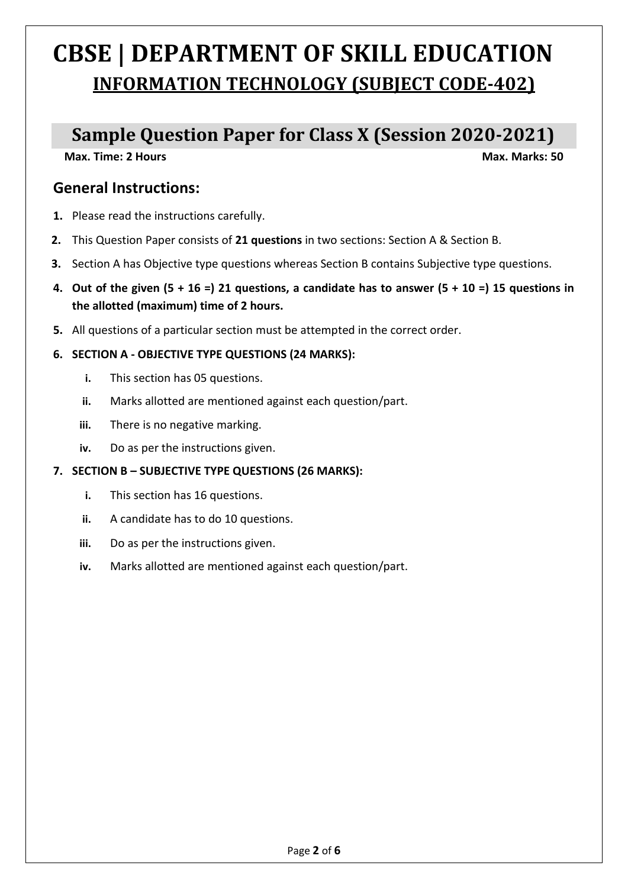# **CBSE | DEPARTMENT OF SKILL EDUCATION INFORMATION TECHNOLOGY (SUBJECT CODE-402)**

# **Sample Question Paper for Class X (Session 2020-2021)**

**Max. Time: 2 Hours Max. Marks: 50** 

## **General Instructions:**

- **1.** Please read the instructions carefully.
- **2.** This Question Paper consists of **21 questions** in two sections: Section A & Section B.
- **3.** Section A has Objective type questions whereas Section B contains Subjective type questions.
- **4. Out of the given (5 + 16 =) 21 questions, a candidate has to answer (5 + 10 =) 15 questions in the allotted (maximum) time of 2 hours.**
- **5.** All questions of a particular section must be attempted in the correct order.

#### **6. SECTION A - OBJECTIVE TYPE QUESTIONS (24 MARKS):**

- **i.** This section has 05 questions.
- **ii.** Marks allotted are mentioned against each question/part.
- **iii.** There is no negative marking.
- **iv.** Do as per the instructions given.

#### **7. SECTION B – SUBJECTIVE TYPE QUESTIONS (26 MARKS):**

- **i.** This section has 16 questions.
- **ii.** A candidate has to do 10 questions.
- **iii.** Do as per the instructions given.
- **iv.** Marks allotted are mentioned against each question/part.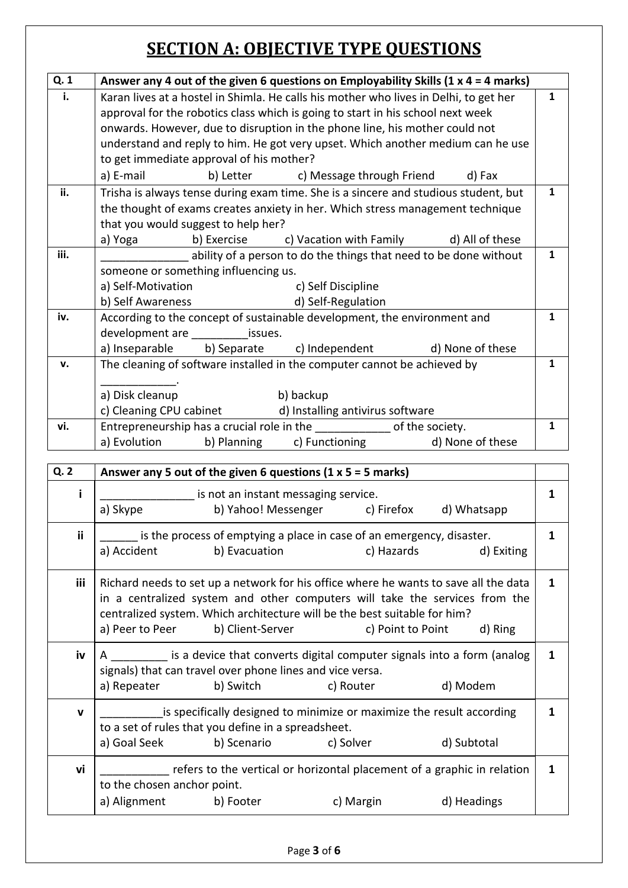# **SECTION A: OBJECTIVE TYPE QUESTIONS**

| Q. 1 | Answer any 4 out of the given 6 questions on Employability Skills (1 $x$ 4 = 4 marks) |              |  |  |  |  |
|------|---------------------------------------------------------------------------------------|--------------|--|--|--|--|
| i.   | Karan lives at a hostel in Shimla. He calls his mother who lives in Delhi, to get her | $\mathbf{1}$ |  |  |  |  |
|      | approval for the robotics class which is going to start in his school next week       |              |  |  |  |  |
|      | onwards. However, due to disruption in the phone line, his mother could not           |              |  |  |  |  |
|      | understand and reply to him. He got very upset. Which another medium can he use       |              |  |  |  |  |
|      | to get immediate approval of his mother?                                              |              |  |  |  |  |
|      | a) E-mail<br>b) Letter c) Message through Friend d) Fax                               |              |  |  |  |  |
| ii.  | Trisha is always tense during exam time. She is a sincere and studious student, but   | 1            |  |  |  |  |
|      | the thought of exams creates anxiety in her. Which stress management technique        |              |  |  |  |  |
|      | that you would suggest to help her?                                                   |              |  |  |  |  |
|      | a) Yoga<br>b) Exercise c) Vacation with Family d) All of these                        |              |  |  |  |  |
| iii. | ability of a person to do the things that need to be done without                     | 1            |  |  |  |  |
|      | someone or something influencing us.                                                  |              |  |  |  |  |
|      | a) Self-Motivation<br>c) Self Discipline                                              |              |  |  |  |  |
|      | b) Self Awareness<br>d) Self-Regulation                                               |              |  |  |  |  |
| iv.  | According to the concept of sustainable development, the environment and              | 1            |  |  |  |  |
|      | development are ______________ issues.                                                |              |  |  |  |  |
|      | a) Inseparable b) Separate c) Independent d) None of these                            |              |  |  |  |  |
| v.   | The cleaning of software installed in the computer cannot be achieved by              | 1            |  |  |  |  |
|      |                                                                                       |              |  |  |  |  |
|      | a) Disk cleanup<br>b) backup                                                          |              |  |  |  |  |
|      | c) Cleaning CPU cabinet d) Installing antivirus software                              |              |  |  |  |  |
| vi.  | Entrepreneurship has a crucial role in the <b>container the set of the society</b> .  | 1            |  |  |  |  |
|      | a) Evolution b) Planning c) Functioning<br>d) None of these                           |              |  |  |  |  |

| Q. 2         | Answer any 5 out of the given 6 questions $(1 \times 5 = 5 \text{ marks})$                                                                                                                                                                                                                             |                                      |                                                                                      |             |   |
|--------------|--------------------------------------------------------------------------------------------------------------------------------------------------------------------------------------------------------------------------------------------------------------------------------------------------------|--------------------------------------|--------------------------------------------------------------------------------------|-------------|---|
| i            | a) Skype                                                                                                                                                                                                                                                                                               | is not an instant messaging service. | b) Yahoo! Messenger c) Firefox d) Whatsapp                                           |             | 1 |
| ii.          | a) Accident                                                                                                                                                                                                                                                                                            | b) Evacuation                        | is the process of emptying a place in case of an emergency, disaster.<br>c) Hazards  | d) Exiting  | 1 |
| iii          | Richard needs to set up a network for his office where he wants to save all the data<br>in a centralized system and other computers will take the services from the<br>centralized system. Which architecture will be the best suitable for him?<br>a) Peer to Peer b) Client-Server c) Point to Point |                                      |                                                                                      | d) Ring     | 1 |
| iv           | A ________ is a device that converts digital computer signals into a form (analog<br>signals) that can travel over phone lines and vice versa.<br>a) Repeater                                                                                                                                          | b) Switch                            | c) Router                                                                            | d) Modem    | 1 |
| $\mathbf{V}$ | to a set of rules that you define in a spreadsheet.<br>a) Goal Seek b) Scenario c) Solver                                                                                                                                                                                                              |                                      | is specifically designed to minimize or maximize the result according                | d) Subtotal | 1 |
| vi           | to the chosen anchor point.<br>a) Alignment b) Footer                                                                                                                                                                                                                                                  |                                      | refers to the vertical or horizontal placement of a graphic in relation<br>c) Margin | d) Headings | 1 |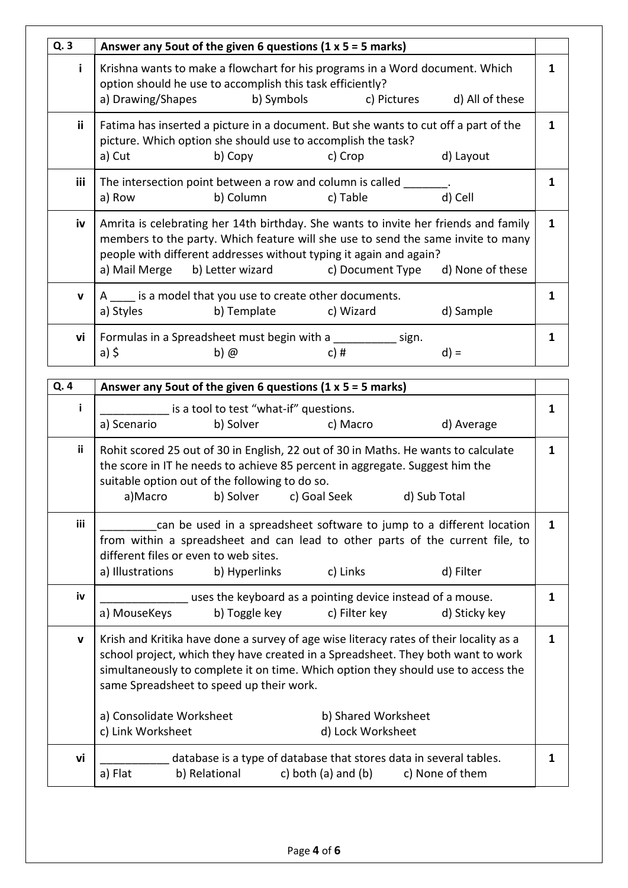| Q.3          | Answer any 5 out of the given 6 questions $(1 \times 5 = 5 \text{ marks})$                                                                                                                                                                    |   |  |  |  |  |
|--------------|-----------------------------------------------------------------------------------------------------------------------------------------------------------------------------------------------------------------------------------------------|---|--|--|--|--|
| i.           | Krishna wants to make a flowchart for his programs in a Word document. Which<br>option should he use to accomplish this task efficiently?<br>a) Drawing/Shapes b) Symbols c) Pictures d) All of these                                         |   |  |  |  |  |
| ii.          | Fatima has inserted a picture in a document. But she wants to cut off a part of the<br>picture. Which option she should use to accomplish the task?                                                                                           | 1 |  |  |  |  |
|              | b) Copy<br>c) Crop<br>d) Layout<br>a) Cut                                                                                                                                                                                                     |   |  |  |  |  |
| iii          | The intersection point between a row and column is called                                                                                                                                                                                     | 1 |  |  |  |  |
|              | d) Cell<br>a) Row<br>b) Column c) Table                                                                                                                                                                                                       |   |  |  |  |  |
| iv           | Amrita is celebrating her 14th birthday. She wants to invite her friends and family<br>members to the party. Which feature will she use to send the same invite to many<br>people with different addresses without typing it again and again? |   |  |  |  |  |
|              | a) Mail Merge b) Letter wizard c) Document Type d) None of these                                                                                                                                                                              |   |  |  |  |  |
| $\mathbf{v}$ | A is a model that you use to create other documents.                                                                                                                                                                                          |   |  |  |  |  |
|              | a) Styles b) Template c) Wizard<br>d) Sample                                                                                                                                                                                                  |   |  |  |  |  |
| vi           | Formulas in a Spreadsheet must begin with a sign.                                                                                                                                                                                             | 1 |  |  |  |  |
|              | $b)$ $@$<br>c) #<br>a) \$<br>$d) =$                                                                                                                                                                                                           |   |  |  |  |  |

| Q. 4         | Answer any 5 out of the given 6 questions (1 $x$ 5 = 5 marks)                                                                                                                                                                                                                                                                                                                                            |   |  |  |  |  |
|--------------|----------------------------------------------------------------------------------------------------------------------------------------------------------------------------------------------------------------------------------------------------------------------------------------------------------------------------------------------------------------------------------------------------------|---|--|--|--|--|
| i.           | is a tool to test "what-if" questions.                                                                                                                                                                                                                                                                                                                                                                   | 1 |  |  |  |  |
|              | b) Solver<br>c) Macro<br>d) Average<br>a) Scenario                                                                                                                                                                                                                                                                                                                                                       |   |  |  |  |  |
| ii.          | Rohit scored 25 out of 30 in English, 22 out of 30 in Maths. He wants to calculate<br>the score in IT he needs to achieve 85 percent in aggregate. Suggest him the<br>suitable option out of the following to do so.<br>a)Macro<br>b) Solver<br>d) Sub Total<br>c) Goal Seek                                                                                                                             |   |  |  |  |  |
| <b>iii</b>   | can be used in a spreadsheet software to jump to a different location<br>from within a spreadsheet and can lead to other parts of the current file, to<br>different files or even to web sites.<br>a) Illustrations<br>d) Filter<br>b) Hyperlinks<br>c) Links                                                                                                                                            | 1 |  |  |  |  |
| iv           | uses the keyboard as a pointing device instead of a mouse.<br>a) MouseKeys<br>b) Toggle key<br>c) Filter key<br>d) Sticky key                                                                                                                                                                                                                                                                            | 1 |  |  |  |  |
| $\mathbf{V}$ | Krish and Kritika have done a survey of age wise literacy rates of their locality as a<br>school project, which they have created in a Spreadsheet. They both want to work<br>simultaneously to complete it on time. Which option they should use to access the<br>same Spreadsheet to speed up their work.<br>a) Consolidate Worksheet<br>b) Shared Worksheet<br>c) Link Worksheet<br>d) Lock Worksheet | 1 |  |  |  |  |
| vi           | database is a type of database that stores data in several tables.<br>b) Relational<br>c) both (a) and (b)<br>a) Flat<br>c) None of them                                                                                                                                                                                                                                                                 | 1 |  |  |  |  |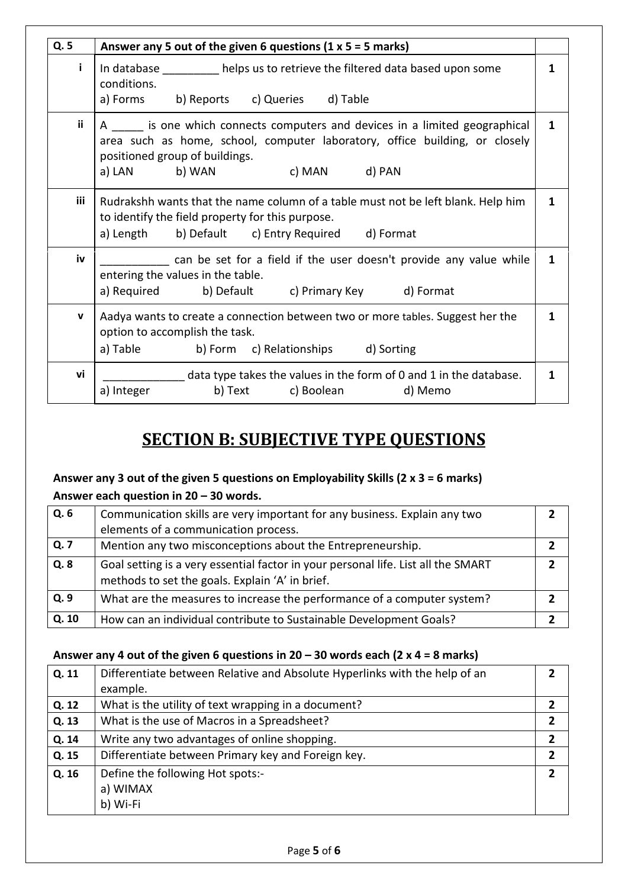| Q. 5       | Answer any 5 out of the given 6 questions $(1 \times 5 = 5 \text{ marks})$                                                                                                                                              |              |
|------------|-------------------------------------------------------------------------------------------------------------------------------------------------------------------------------------------------------------------------|--------------|
| i.         | In database __________ helps us to retrieve the filtered data based upon some<br>conditions.<br>a) Forms b) Reports c) Queries d) Table                                                                                 | 1            |
| ii.        | A is one which connects computers and devices in a limited geographical<br>area such as home, school, computer laboratory, office building, or closely<br>positioned group of buildings.<br>a) LAN b) WAN c) MAN d) PAN | $\mathbf{1}$ |
| <b>iii</b> | Rudrakshh wants that the name column of a table must not be left blank. Help him<br>to identify the field property for this purpose.<br>a) Length b) Default c) Entry Required d) Format                                | 1            |
| iv         | can be set for a field if the user doesn't provide any value while<br>entering the values in the table.<br>a) Required b) Default c) Primary Key d) Format                                                              | 1            |
| V          | Aadya wants to create a connection between two or more tables. Suggest her the<br>option to accomplish the task.<br>a) Table b) Form c) Relationships d) Sorting                                                        | 1            |
| vi         | data type takes the values in the form of 0 and 1 in the database.<br>a) Integer<br>b) Text c) Boolean d) Memo                                                                                                          | 1            |

# **SECTION B: SUBJECTIVE TYPE QUESTIONS**

## **Answer any 3 out of the given 5 questions on Employability Skills (2 x 3 = 6 marks)**

#### **Answer each question in 20 – 30 words.**

| Q.6   | Communication skills are very important for any business. Explain any two         |  |
|-------|-----------------------------------------------------------------------------------|--|
|       | elements of a communication process.                                              |  |
| Q. 7  | Mention any two misconceptions about the Entrepreneurship.                        |  |
| Q.8   | Goal setting is a very essential factor in your personal life. List all the SMART |  |
|       | methods to set the goals. Explain 'A' in brief.                                   |  |
| Q.9   | What are the measures to increase the performance of a computer system?           |  |
| Q. 10 | How can an individual contribute to Sustainable Development Goals?                |  |

#### **Answer any 4 out of the given 6 questions in 20 – 30 words each (2 x 4 = 8 marks)**

| Q. 11 | Differentiate between Relative and Absolute Hyperlinks with the help of an | $\mathfrak z$ |
|-------|----------------------------------------------------------------------------|---------------|
|       | example.                                                                   |               |
| Q. 12 | What is the utility of text wrapping in a document?                        |               |
| Q. 13 | What is the use of Macros in a Spreadsheet?                                | 7             |
| Q. 14 | Write any two advantages of online shopping.                               | 2             |
| Q. 15 | Differentiate between Primary key and Foreign key.                         | $\mathfrak z$ |
| Q. 16 | Define the following Hot spots:-                                           | 2             |
|       | a) WIMAX                                                                   |               |
|       | b) Wi-Fi                                                                   |               |